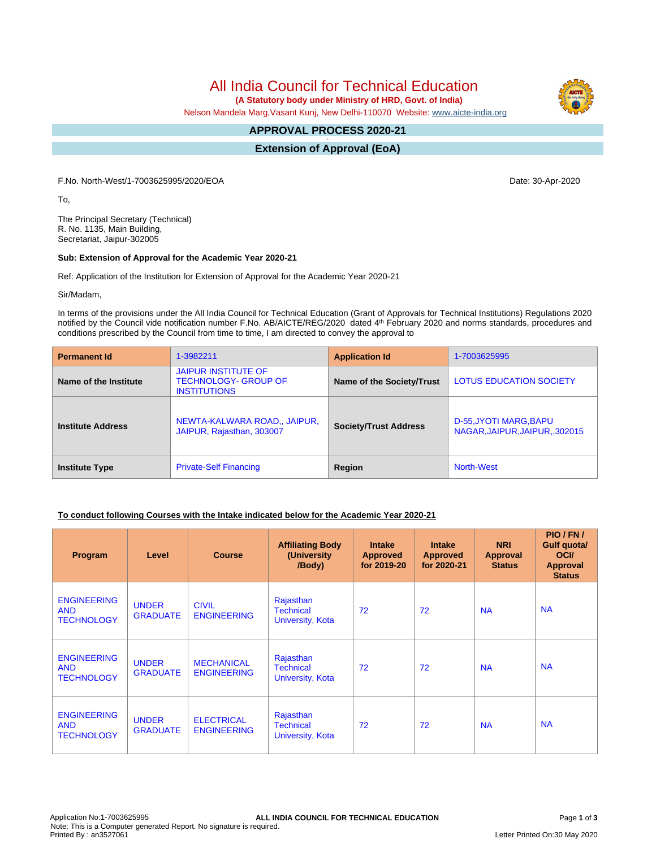# All India Council for Technical Education

 **(A Statutory body under Ministry of HRD, Govt. of India)**

Nelson Mandela Marg,Vasant Kunj, New Delhi-110070 Website: [www.aicte-india.org](http://www.aicte-india.org)

#### **APPROVAL PROCESS 2020-21 -**

**Extension of Approval (EoA)**

F.No. North-West/1-7003625995/2020/EOA Date: 30-Apr-2020

To,

The Principal Secretary (Technical) R. No. 1135, Main Building, Secretariat, Jaipur-302005

#### **Sub: Extension of Approval for the Academic Year 2020-21**

Ref: Application of the Institution for Extension of Approval for the Academic Year 2020-21

Sir/Madam,

In terms of the provisions under the All India Council for Technical Education (Grant of Approvals for Technical Institutions) Regulations 2020 notified by the Council vide notification number F.No. AB/AICTE/REG/2020 dated 4<sup>th</sup> February 2020 and norms standards, procedures and conditions prescribed by the Council from time to time, I am directed to convey the approval to

| <b>Permanent Id</b>      | 1-3982211                                                                        | <b>Application Id</b>        | 1-7003625995                                            |  |
|--------------------------|----------------------------------------------------------------------------------|------------------------------|---------------------------------------------------------|--|
| Name of the Institute    | <b>JAIPUR INSTITUTE OF</b><br><b>TECHNOLOGY- GROUP OF</b><br><b>INSTITUTIONS</b> | Name of the Society/Trust    | <b>LOTUS EDUCATION SOCIETY</b>                          |  |
| <b>Institute Address</b> | NEWTA-KALWARA ROAD., JAIPUR,<br>JAIPUR, Rajasthan, 303007                        | <b>Society/Trust Address</b> | D-55, JYOTI MARG, BAPU<br>NAGAR, JAIPUR, JAIPUR, 302015 |  |
| <b>Institute Type</b>    | <b>Private-Self Financing</b>                                                    | Region                       | North-West                                              |  |

## **To conduct following Courses with the Intake indicated below for the Academic Year 2020-21**

| Program                                               | Level                           | <b>Course</b>                           | <b>Affiliating Body</b><br>(University<br>/Body)  | <b>Intake</b><br><b>Approved</b><br>for 2019-20 | <b>Intake</b><br><b>Approved</b><br>for 2020-21 | <b>NRI</b><br>Approval<br><b>Status</b> | PIO/FN/<br>Gulf quota/<br><b>OCI</b><br><b>Approval</b><br><b>Status</b> |
|-------------------------------------------------------|---------------------------------|-----------------------------------------|---------------------------------------------------|-------------------------------------------------|-------------------------------------------------|-----------------------------------------|--------------------------------------------------------------------------|
| <b>ENGINEERING</b><br><b>AND</b><br><b>TECHNOLOGY</b> | <b>UNDER</b><br><b>GRADUATE</b> | <b>CIVIL</b><br><b>ENGINEERING</b>      | Rajasthan<br><b>Technical</b><br>University, Kota | 72                                              | 72                                              | <b>NA</b>                               | <b>NA</b>                                                                |
| <b>ENGINEERING</b><br><b>AND</b><br><b>TECHNOLOGY</b> | <b>UNDER</b><br><b>GRADUATE</b> | <b>MECHANICAL</b><br><b>ENGINEERING</b> | Rajasthan<br><b>Technical</b><br>University, Kota | 72                                              | 72                                              | <b>NA</b>                               | <b>NA</b>                                                                |
| <b>ENGINEERING</b><br><b>AND</b><br><b>TECHNOLOGY</b> | <b>UNDER</b><br><b>GRADUATE</b> | <b>ELECTRICAL</b><br><b>ENGINEERING</b> | Rajasthan<br><b>Technical</b><br>University, Kota | 72                                              | 72                                              | <b>NA</b>                               | <b>NA</b>                                                                |

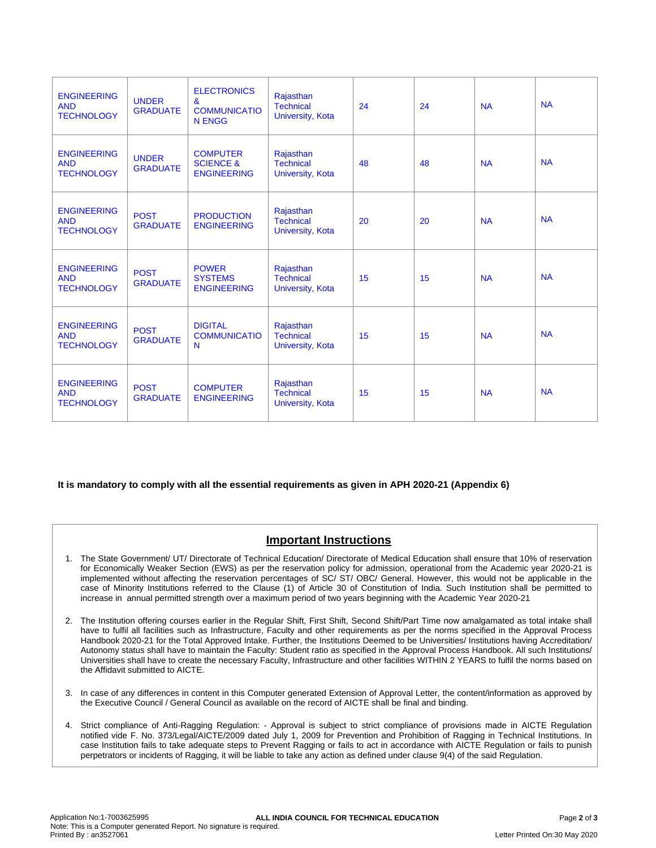| <b>ENGINEERING</b><br><b>AND</b><br><b>TECHNOLOGY</b> | <b>UNDER</b><br><b>GRADUATE</b> | <b>ELECTRONICS</b><br>&<br><b>COMMUNICATIO</b><br><b>N ENGG</b> | Rajasthan<br><b>Technical</b><br><b>University, Kota</b> | 24 | 24 | <b>NA</b> | <b>NA</b> |
|-------------------------------------------------------|---------------------------------|-----------------------------------------------------------------|----------------------------------------------------------|----|----|-----------|-----------|
| <b>ENGINEERING</b><br><b>AND</b><br><b>TECHNOLOGY</b> | <b>UNDER</b><br><b>GRADUATE</b> | <b>COMPUTER</b><br><b>SCIENCE &amp;</b><br><b>ENGINEERING</b>   | Rajasthan<br><b>Technical</b><br><b>University, Kota</b> | 48 | 48 | <b>NA</b> | <b>NA</b> |
| <b>ENGINEERING</b><br><b>AND</b><br><b>TECHNOLOGY</b> | <b>POST</b><br><b>GRADUATE</b>  | <b>PRODUCTION</b><br><b>ENGINEERING</b>                         | Rajasthan<br><b>Technical</b><br><b>University, Kota</b> | 20 | 20 | <b>NA</b> | <b>NA</b> |
| <b>ENGINEERING</b><br><b>AND</b><br><b>TECHNOLOGY</b> | <b>POST</b><br><b>GRADUATE</b>  | <b>POWER</b><br><b>SYSTEMS</b><br><b>ENGINEERING</b>            | Rajasthan<br><b>Technical</b><br><b>University, Kota</b> | 15 | 15 | <b>NA</b> | <b>NA</b> |
| <b>ENGINEERING</b><br><b>AND</b><br><b>TECHNOLOGY</b> | <b>POST</b><br><b>GRADUATE</b>  | <b>DIGITAL</b><br><b>COMMUNICATIO</b><br>N                      | Rajasthan<br><b>Technical</b><br><b>University, Kota</b> | 15 | 15 | <b>NA</b> | <b>NA</b> |
| <b>ENGINEERING</b><br><b>AND</b><br><b>TECHNOLOGY</b> | <b>POST</b><br><b>GRADUATE</b>  | <b>COMPUTER</b><br><b>ENGINEERING</b>                           | Rajasthan<br><b>Technical</b><br><b>University, Kota</b> | 15 | 15 | <b>NA</b> | <b>NA</b> |

## **It is mandatory to comply with all the essential requirements as given in APH 2020-21 (Appendix 6)**

# **Important Instructions**

- 1. The State Government/ UT/ Directorate of Technical Education/ Directorate of Medical Education shall ensure that 10% of reservation for Economically Weaker Section (EWS) as per the reservation policy for admission, operational from the Academic year 2020-21 is implemented without affecting the reservation percentages of SC/ ST/ OBC/ General. However, this would not be applicable in the case of Minority Institutions referred to the Clause (1) of Article 30 of Constitution of India. Such Institution shall be permitted to increase in annual permitted strength over a maximum period of two years beginning with the Academic Year 2020-21
- 2. The Institution offering courses earlier in the Regular Shift, First Shift, Second Shift/Part Time now amalgamated as total intake shall have to fulfil all facilities such as Infrastructure, Faculty and other requirements as per the norms specified in the Approval Process Handbook 2020-21 for the Total Approved Intake. Further, the Institutions Deemed to be Universities/ Institutions having Accreditation/ Autonomy status shall have to maintain the Faculty: Student ratio as specified in the Approval Process Handbook. All such Institutions/ Universities shall have to create the necessary Faculty, Infrastructure and other facilities WITHIN 2 YEARS to fulfil the norms based on the Affidavit submitted to AICTE.
- 3. In case of any differences in content in this Computer generated Extension of Approval Letter, the content/information as approved by the Executive Council / General Council as available on the record of AICTE shall be final and binding.
- 4. Strict compliance of Anti-Ragging Regulation: Approval is subject to strict compliance of provisions made in AICTE Regulation notified vide F. No. 373/Legal/AICTE/2009 dated July 1, 2009 for Prevention and Prohibition of Ragging in Technical Institutions. In case Institution fails to take adequate steps to Prevent Ragging or fails to act in accordance with AICTE Regulation or fails to punish perpetrators or incidents of Ragging, it will be liable to take any action as defined under clause 9(4) of the said Regulation.